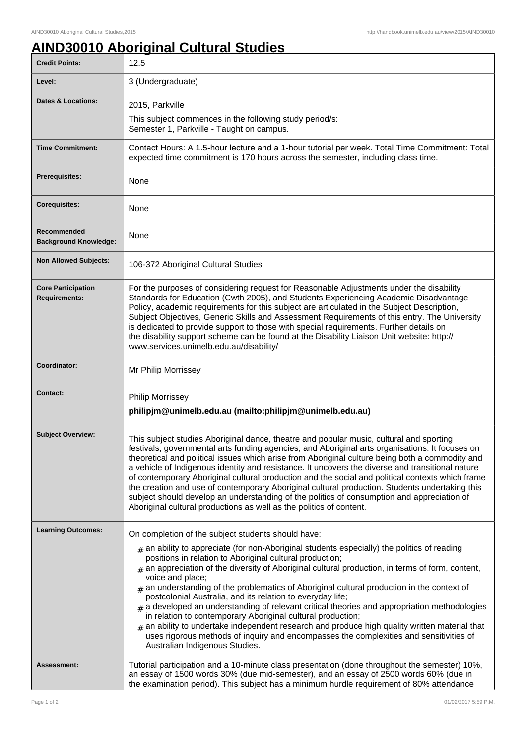## **AIND30010 Aboriginal Cultural Studies**

| <b>Credit Points:</b>                             | 12.5                                                                                                                                                                                                                                                                                                                                                                                                                                                                                                                                                                                                                                                                                                                                                                                                                                                                                                         |
|---------------------------------------------------|--------------------------------------------------------------------------------------------------------------------------------------------------------------------------------------------------------------------------------------------------------------------------------------------------------------------------------------------------------------------------------------------------------------------------------------------------------------------------------------------------------------------------------------------------------------------------------------------------------------------------------------------------------------------------------------------------------------------------------------------------------------------------------------------------------------------------------------------------------------------------------------------------------------|
| Level:                                            | 3 (Undergraduate)                                                                                                                                                                                                                                                                                                                                                                                                                                                                                                                                                                                                                                                                                                                                                                                                                                                                                            |
| Dates & Locations:                                | 2015, Parkville                                                                                                                                                                                                                                                                                                                                                                                                                                                                                                                                                                                                                                                                                                                                                                                                                                                                                              |
|                                                   | This subject commences in the following study period/s:<br>Semester 1, Parkville - Taught on campus.                                                                                                                                                                                                                                                                                                                                                                                                                                                                                                                                                                                                                                                                                                                                                                                                         |
| <b>Time Commitment:</b>                           | Contact Hours: A 1.5-hour lecture and a 1-hour tutorial per week. Total Time Commitment: Total<br>expected time commitment is 170 hours across the semester, including class time.                                                                                                                                                                                                                                                                                                                                                                                                                                                                                                                                                                                                                                                                                                                           |
| <b>Prerequisites:</b>                             | None                                                                                                                                                                                                                                                                                                                                                                                                                                                                                                                                                                                                                                                                                                                                                                                                                                                                                                         |
| <b>Corequisites:</b>                              | None                                                                                                                                                                                                                                                                                                                                                                                                                                                                                                                                                                                                                                                                                                                                                                                                                                                                                                         |
| Recommended<br><b>Background Knowledge:</b>       | None                                                                                                                                                                                                                                                                                                                                                                                                                                                                                                                                                                                                                                                                                                                                                                                                                                                                                                         |
| <b>Non Allowed Subjects:</b>                      | 106-372 Aboriginal Cultural Studies                                                                                                                                                                                                                                                                                                                                                                                                                                                                                                                                                                                                                                                                                                                                                                                                                                                                          |
| <b>Core Participation</b><br><b>Requirements:</b> | For the purposes of considering request for Reasonable Adjustments under the disability<br>Standards for Education (Cwth 2005), and Students Experiencing Academic Disadvantage<br>Policy, academic requirements for this subject are articulated in the Subject Description,<br>Subject Objectives, Generic Skills and Assessment Requirements of this entry. The University<br>is dedicated to provide support to those with special requirements. Further details on<br>the disability support scheme can be found at the Disability Liaison Unit website: http://<br>www.services.unimelb.edu.au/disability/                                                                                                                                                                                                                                                                                             |
| Coordinator:                                      | Mr Philip Morrissey                                                                                                                                                                                                                                                                                                                                                                                                                                                                                                                                                                                                                                                                                                                                                                                                                                                                                          |
| <b>Contact:</b>                                   | <b>Philip Morrissey</b><br>philipjm@unimelb.edu.au (mailto:philipjm@unimelb.edu.au)                                                                                                                                                                                                                                                                                                                                                                                                                                                                                                                                                                                                                                                                                                                                                                                                                          |
| <b>Subject Overview:</b>                          | This subject studies Aboriginal dance, theatre and popular music, cultural and sporting<br>festivals; governmental arts funding agencies; and Aboriginal arts organisations. It focuses on<br>theoretical and political issues which arise from Aboriginal culture being both a commodity and<br>a vehicle of Indigenous identity and resistance. It uncovers the diverse and transitional nature<br>of contemporary Aboriginal cultural production and the social and political contexts which frame<br>the creation and use of contemporary Aboriginal cultural production. Students undertaking this<br>subject should develop an understanding of the politics of consumption and appreciation of<br>Aboriginal cultural productions as well as the politics of content.                                                                                                                                 |
| <b>Learning Outcomes:</b>                         | On completion of the subject students should have:<br>$_{\#}$ an ability to appreciate (for non-Aboriginal students especially) the politics of reading<br>positions in relation to Aboriginal cultural production;<br>$#$ an appreciation of the diversity of Aboriginal cultural production, in terms of form, content,<br>voice and place;<br>$*$ an understanding of the problematics of Aboriginal cultural production in the context of<br>postcolonial Australia, and its relation to everyday life;<br>$#$ a developed an understanding of relevant critical theories and appropriation methodologies<br>in relation to contemporary Aboriginal cultural production;<br>an ability to undertake independent research and produce high quality written material that<br>#<br>uses rigorous methods of inquiry and encompasses the complexities and sensitivities of<br>Australian Indigenous Studies. |
| <b>Assessment:</b>                                | Tutorial participation and a 10-minute class presentation (done throughout the semester) 10%,<br>an essay of 1500 words 30% (due mid-semester), and an essay of 2500 words 60% (due in<br>the examination period). This subject has a minimum hurdle requirement of 80% attendance                                                                                                                                                                                                                                                                                                                                                                                                                                                                                                                                                                                                                           |